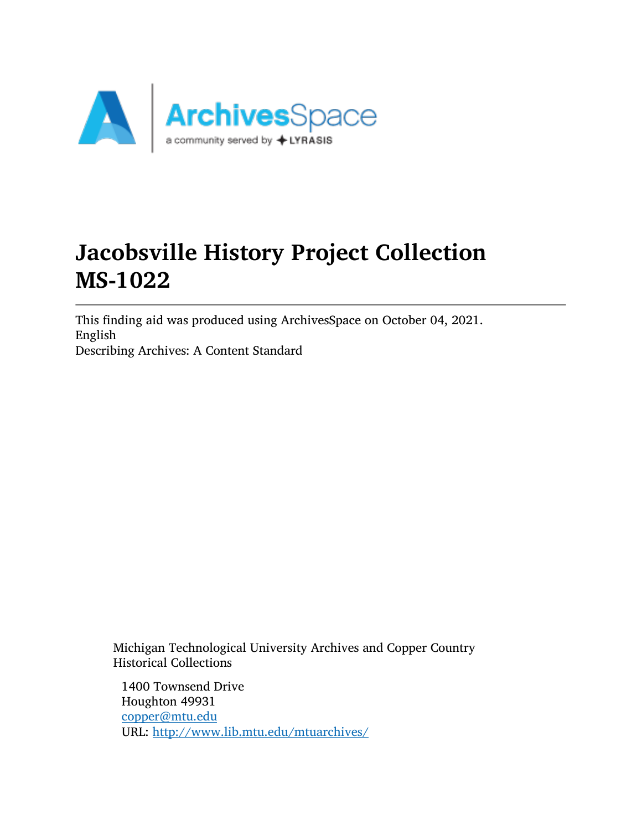

# Jacobsville History Project Collection MS-1022

This finding aid was produced using ArchivesSpace on October 04, 2021. English Describing Archives: A Content Standard

Michigan Technological University Archives and Copper Country Historical Collections

1400 Townsend Drive Houghton 49931 [copper@mtu.edu](mailto:copper@mtu.edu) URL: <http://www.lib.mtu.edu/mtuarchives/>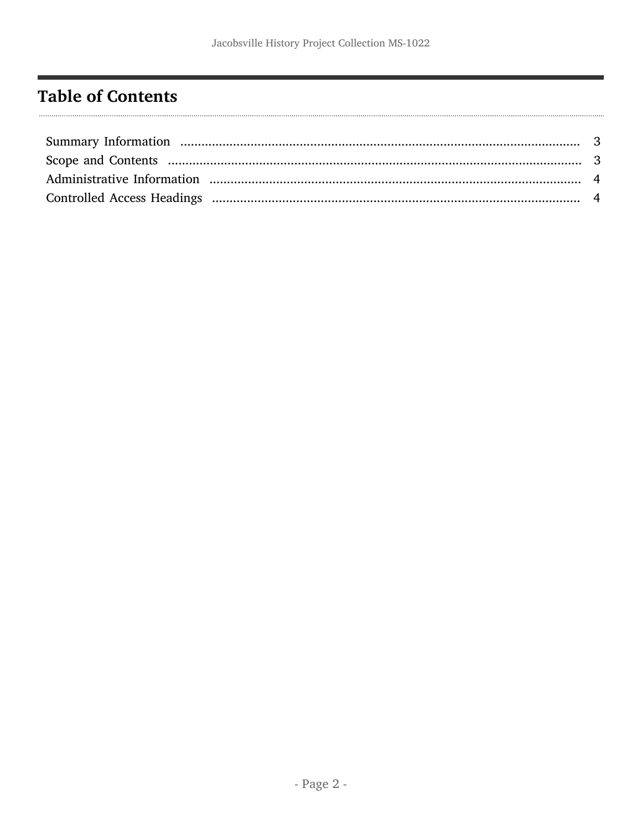# <span id="page-1-0"></span>**Table of Contents**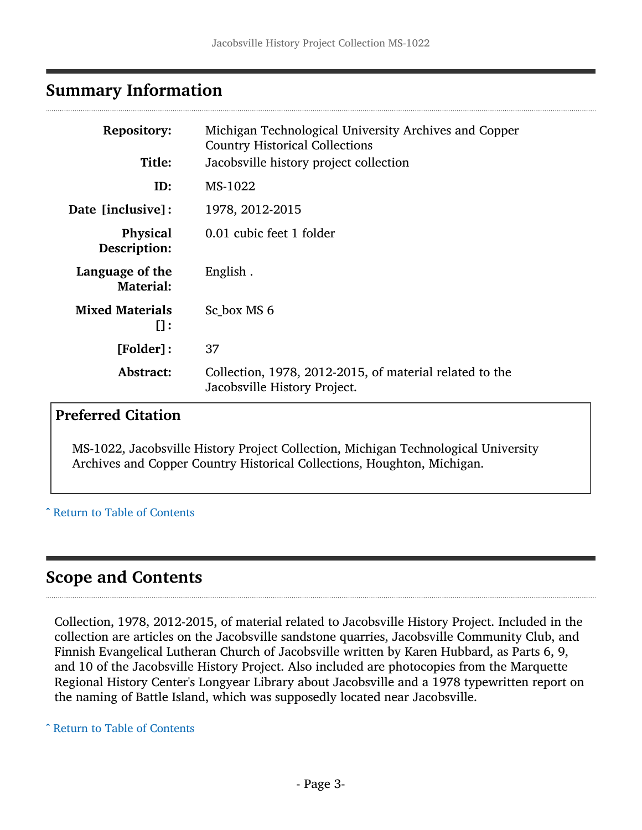# <span id="page-2-0"></span>Summary Information

| <b>Repository:</b>                | Michigan Technological University Archives and Copper<br><b>Country Historical Collections</b> |
|-----------------------------------|------------------------------------------------------------------------------------------------|
| Title:                            | Jacobsville history project collection                                                         |
| ID:                               | MS-1022                                                                                        |
| Date [inclusive]:                 | 1978, 2012-2015                                                                                |
| <b>Physical</b><br>Description:   | 0.01 cubic feet 1 folder                                                                       |
| Language of the<br>Material:      | English.                                                                                       |
| <b>Mixed Materials</b><br>$\Pi$ : | Sc box MS 6                                                                                    |
| [Folder]:                         | 37                                                                                             |
| Abstract:                         | Collection, 1978, 2012-2015, of material related to the<br>Jacobsville History Project.        |

#### Preferred Citation

MS-1022, Jacobsville History Project Collection, Michigan Technological University Archives and Copper Country Historical Collections, Houghton, Michigan.

#### ^ [Return to Table of Contents](#page-1-0)

# <span id="page-2-1"></span>Scope and Contents

Collection, 1978, 2012-2015, of material related to Jacobsville History Project. Included in the collection are articles on the Jacobsville sandstone quarries, Jacobsville Community Club, and Finnish Evangelical Lutheran Church of Jacobsville written by Karen Hubbard, as Parts 6, 9, and 10 of the Jacobsville History Project. Also included are photocopies from the Marquette Regional History Center's Longyear Library about Jacobsville and a 1978 typewritten report on the naming of Battle Island, which was supposedly located near Jacobsville.

^ [Return to Table of Contents](#page-1-0)